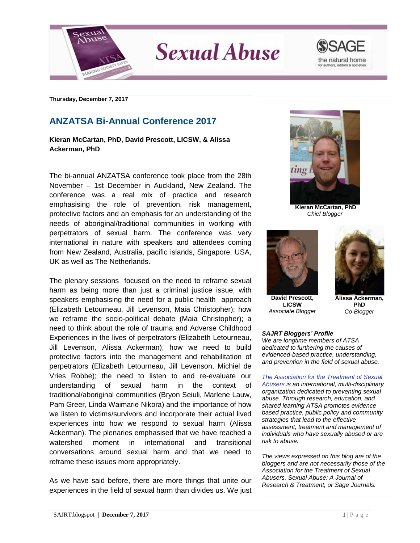

**Sexual Abuse** 



**Thursday, December 7, 2017**

## **ANZATSA Bi-Annual Conference 2017**

**Kieran McCartan, PhD, David Prescott, LICSW, & Alissa Ackerman, PhD**

The bi-annual ANZATSA conference took place from the 28th November – 1st December in Auckland, New Zealand. The conference was a real mix of practice and research emphasising the role of prevention, risk management, protective factors and an emphasis for an understanding of the needs of aboriginal/traditional communities in working with perpetrators of sexual harm. The conference was very international in nature with speakers and attendees coming from New Zealand, Australia, pacific islands, Singapore, USA, UK as well as The Netherlands.

The plenary sessions focused on the need to reframe sexual harm as being more than just a criminal justice issue, with speakers emphasising the need for a public health approach (Elizabeth Letourneau, Jill Levenson, Maia Christopher); how we reframe the socio-political debate (Maia Christopher); a need to think about the role of trauma and Adverse Childhood Experiences in the lives of perpetrators (Elizabeth Letourneau, Jill Levenson, Alissa Ackerman); how we need to build protective factors into the management and rehabilitation of perpetrators (Elizabeth Letourneau, Jill Levenson, Michiel de Vries Robbe); the need to listen to and re-evaluate our understanding of sexual harm in the context of traditional/aboriginal communities (Bryon Seiuli, Marlene Lauw, Pam Greer, Linda Waimarie Nikora) and the importance of how we listen to victims/survivors and incorporate their actual lived experiences into how we respond to sexual harm (Alissa Ackerman). The plenaries emphasised that we have reached a watershed moment in international and transitional conversations around sexual harm and that we need to reframe these issues more appropriately.

As we have said before, there are more things that unite our experiences in the field of sexual harm than divides us. We just



**Kieran McCartan, PhD** *Chief Blogger*



**David Prescott, LICSW** *Associate Blogger*



**Alissa Ackerman, PhD** *Co-Blogger*

## *SAJRT Bloggers' Profile*

*We are longtime members of ATSA dedicated to furthering the causes of evidenced-based practice, understanding, and prevention in the field of sexual abuse.*

*[The Association for the Treatment of Sexual](http://atsa.com/)  [Abusers](http://atsa.com/) is an international, multi-disciplinary organization dedicated to preventing sexual abuse. Through research, education, and shared learning ATSA promotes evidence based practice, public policy and community strategies that lead to the effective assessment, treatment and management of individuals who have sexually abused or are risk to abuse.* 

*The views expressed on this blog are of the bloggers and are not necessarily those of the Association for the Treatment of Sexual Abusers, Sexual Abuse: A Journal of Research & Treatment, or Sage Journals.*